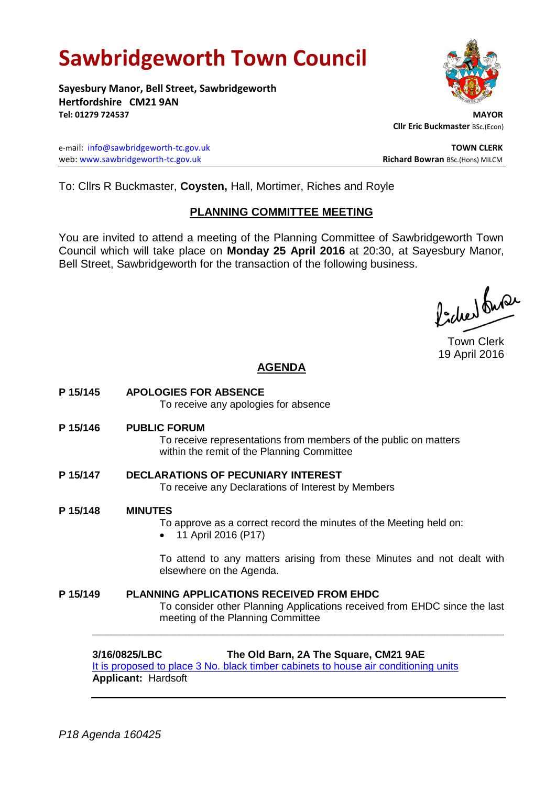# **Sawbridgeworth Town Council**

**Sayesbury Manor, Bell Street, Sawbridgeworth Hertfordshire CM21 9AN Tel: 01279 724537 MAYOR**

e-mail: [info@sawbridgeworth-tc.gov.uk](mailto:info@sawbridgeworth-tc.gov.uk) **TOWN CLERK** web: www.sawbridgeworth-tc.gov.uk<br>
Richard Bowran BSc.(Hons) MILCM



 **Cllr Eric Buckmaster** BSc.(Econ)

To: Cllrs R Buckmaster, **Coysten,** Hall, Mortimer, Riches and Royle

## **PLANNING COMMITTEE MEETING**

You are invited to attend a meeting of the Planning Committee of Sawbridgeworth Town Council which will take place on **Monday 25 April 2016** at 20:30, at Sayesbury Manor, Bell Street, Sawbridgeworth for the transaction of the following business.

ladres buse

Town Clerk 19 April 2016

## **AGENDA**

**P 15/145 APOLOGIES FOR ABSENCE** To receive any apologies for absence **P 15/146 PUBLIC FORUM** To receive representations from members of the public on matters within the remit of the Planning Committee **P 15/147 DECLARATIONS OF PECUNIARY INTEREST** To receive any Declarations of Interest by Members **P 15/148 MINUTES** To approve as a correct record the minutes of the Meeting held on: • 11 April 2016 (P17) To attend to any matters arising from these Minutes and not dealt with elsewhere on the Agenda. **P 15/149 PLANNING APPLICATIONS RECEIVED FROM EHDC** To consider other Planning Applications received from EHDC since the last meeting of the Planning Committee **\_\_\_\_\_\_\_\_\_\_\_\_\_\_\_\_\_\_\_\_\_\_\_\_\_\_\_\_\_\_\_\_\_\_\_\_\_\_\_\_\_\_\_\_\_\_\_\_\_\_\_\_\_\_\_\_\_\_\_\_\_\_\_\_\_\_**

**3/16/0825/LBC The Old Barn, 2A The Square, CM21 9AE** [It is proposed to place 3 No. black timber cabinets to house](https://publicaccess.eastherts.gov.uk/online-applications/applicationDetails.do?activeTab=summary&keyVal=O561R2GLJDW00) air conditioning units **Applicant:** Hardsoft